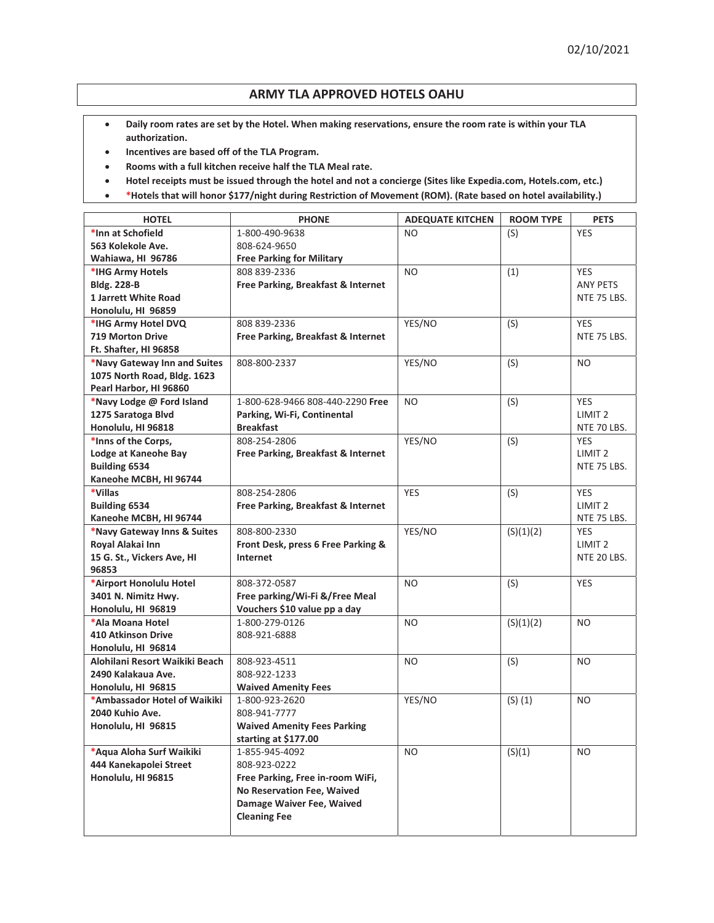## **ARMY TLA APPROVED HOTELS OAHU**

- **•** Daily room rates are set by the Hotel. When making reservations, ensure the room rate is within your TLA **authorization.**
- **•** Incentives are based off of the TLA Program.
- **•** Rooms with a full kitchen receive half the TLA Meal rate.
- **•** Hotel receipts must be issued through the hotel and not a concierge (Sites like Expedia.com, Hotels.com, etc.)
- **\*** \*Hotels that will honor \$177/night during Restriction of Movement (ROM). (Rate based on hotel availability.)

| <b>HOTEL</b>                   | <b>PHONE</b>                       | <b>ADEQUATE KITCHEN</b> | <b>ROOM TYPE</b> | <b>PETS</b>        |
|--------------------------------|------------------------------------|-------------------------|------------------|--------------------|
| *Inn at Schofield              | 1-800-490-9638                     | NO.                     | (S)              | <b>YES</b>         |
| 563 Kolekole Ave.              | 808-624-9650                       |                         |                  |                    |
| Wahiawa, HI 96786              | <b>Free Parking for Military</b>   |                         |                  |                    |
| *IHG Army Hotels               | 808 839-2336                       | <b>NO</b>               | (1)              | <b>YES</b>         |
| <b>Bldg. 228-B</b>             | Free Parking, Breakfast & Internet |                         |                  | <b>ANY PETS</b>    |
| <b>1 Jarrett White Road</b>    |                                    |                         |                  | NTE 75 LBS.        |
| Honolulu, HI 96859             |                                    |                         |                  |                    |
| *IHG Army Hotel DVQ            | 808 839-2336                       | YES/NO                  | (S)              | <b>YES</b>         |
| <b>719 Morton Drive</b>        | Free Parking, Breakfast & Internet |                         |                  | NTE 75 LBS.        |
| Ft. Shafter, HI 96858          |                                    |                         |                  |                    |
| *Navy Gateway Inn and Suites   | 808-800-2337                       | YES/NO                  | (S)              | <b>NO</b>          |
| 1075 North Road, Bldg. 1623    |                                    |                         |                  |                    |
| Pearl Harbor, HI 96860         |                                    |                         |                  |                    |
| *Navy Lodge @ Ford Island      | 1-800-628-9466 808-440-2290 Free   | <b>NO</b>               | (S)              | <b>YES</b>         |
| 1275 Saratoga Blvd             | Parking, Wi-Fi, Continental        |                         |                  | LIMIT <sub>2</sub> |
| Honolulu, HI 96818             | <b>Breakfast</b>                   |                         |                  | NTE 70 LBS.        |
| *Inns of the Corps,            | 808-254-2806                       | YES/NO                  | (S)              | <b>YES</b>         |
| Lodge at Kaneohe Bay           | Free Parking, Breakfast & Internet |                         |                  | LIMIT <sub>2</sub> |
| <b>Building 6534</b>           |                                    |                         |                  | NTE 75 LBS.        |
| Kaneohe MCBH, HI 96744         |                                    |                         |                  |                    |
| *Villas                        | 808-254-2806                       | <b>YES</b>              | (S)              | <b>YES</b>         |
| <b>Building 6534</b>           | Free Parking, Breakfast & Internet |                         |                  | LIMIT <sub>2</sub> |
| Kaneohe MCBH, HI 96744         |                                    |                         |                  | NTE 75 LBS.        |
| *Navy Gateway Inns & Suites    | 808-800-2330                       | YES/NO                  | (S)(1)(2)        | <b>YES</b>         |
| Royal Alakai Inn               | Front Desk, press 6 Free Parking & |                         |                  | LIMIT <sub>2</sub> |
| 15 G. St., Vickers Ave, HI     | Internet                           |                         |                  | NTE 20 LBS.        |
| 96853                          |                                    |                         |                  |                    |
| *Airport Honolulu Hotel        | 808-372-0587                       | <b>NO</b>               | (S)              | YES                |
| 3401 N. Nimitz Hwy.            | Free parking/Wi-Fi &/Free Meal     |                         |                  |                    |
| Honolulu, HI 96819             | Vouchers \$10 value pp a day       |                         |                  |                    |
| *Ala Moana Hotel               | 1-800-279-0126                     | N <sub>O</sub>          | (S)(1)(2)        | N <sub>O</sub>     |
| <b>410 Atkinson Drive</b>      | 808-921-6888                       |                         |                  |                    |
| Honolulu, HI 96814             |                                    |                         |                  |                    |
| Alohilani Resort Waikiki Beach | 808-923-4511                       | NO.                     | (S)              | NO.                |
| 2490 Kalakaua Ave.             | 808-922-1233                       |                         |                  |                    |
| Honolulu, HI 96815             | <b>Waived Amenity Fees</b>         |                         |                  |                    |
| *Ambassador Hotel of Waikiki   | 1-800-923-2620                     | YES/NO                  | $(S)$ $(1)$      | <b>NO</b>          |
| 2040 Kuhio Ave.                | 808-941-7777                       |                         |                  |                    |
| Honolulu, HI 96815             | <b>Waived Amenity Fees Parking</b> |                         |                  |                    |
|                                | starting at \$177.00               |                         |                  |                    |
| *Aqua Aloha Surf Waikiki       | 1-855-945-4092                     | NO.                     | (S)(1)           | N <sub>O</sub>     |
| 444 Kanekapolei Street         | 808-923-0222                       |                         |                  |                    |
| Honolulu, HI 96815             | Free Parking, Free in-room WiFi,   |                         |                  |                    |
|                                | No Reservation Fee, Waived         |                         |                  |                    |
|                                | Damage Waiver Fee, Waived          |                         |                  |                    |
|                                | <b>Cleaning Fee</b>                |                         |                  |                    |
|                                |                                    |                         |                  |                    |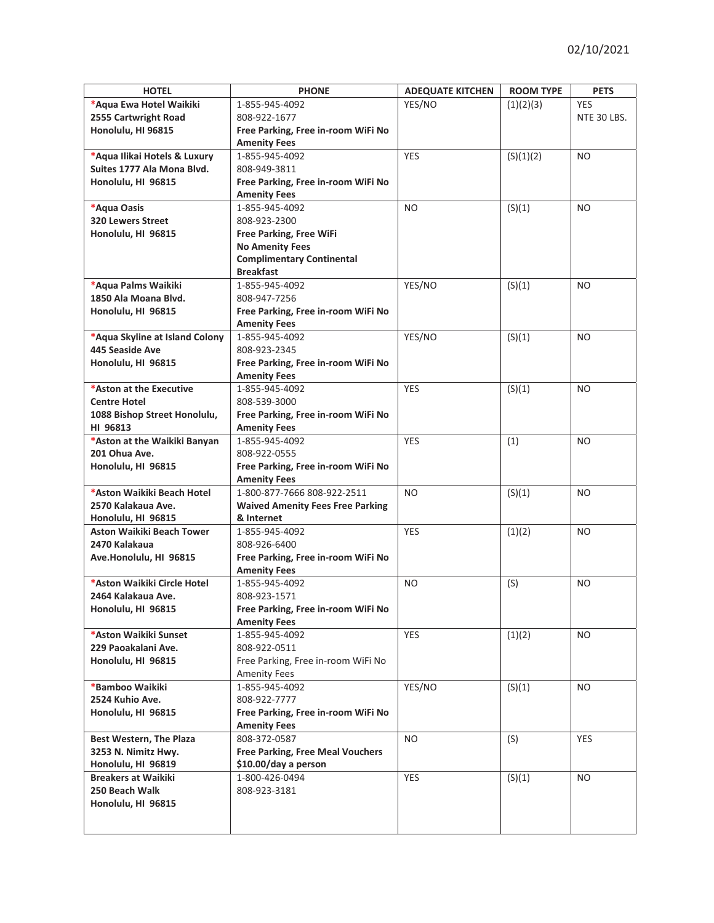| <b>HOTEL</b>                     | <b>PHONE</b>                            | <b>ADEQUATE KITCHEN</b> | <b>ROOM TYPE</b> | <b>PETS</b>    |
|----------------------------------|-----------------------------------------|-------------------------|------------------|----------------|
| *Aqua Ewa Hotel Waikiki          | 1-855-945-4092                          | YES/NO                  | (1)(2)(3)        | <b>YES</b>     |
| 2555 Cartwright Road             | 808-922-1677                            |                         |                  | NTE 30 LBS.    |
| Honolulu, HI 96815               | Free Parking, Free in-room WiFi No      |                         |                  |                |
|                                  | <b>Amenity Fees</b>                     |                         |                  |                |
| *Aqua Ilikai Hotels & Luxury     | 1-855-945-4092                          | <b>YES</b>              | (S)(1)(2)        | N <sub>O</sub> |
| Suites 1777 Ala Mona Blvd.       | 808-949-3811                            |                         |                  |                |
| Honolulu, HI 96815               |                                         |                         |                  |                |
|                                  | Free Parking, Free in-room WiFi No      |                         |                  |                |
|                                  | <b>Amenity Fees</b>                     |                         |                  |                |
| *Aqua Oasis                      | 1-855-945-4092                          | <b>NO</b>               | (S)(1)           | N <sub>O</sub> |
| <b>320 Lewers Street</b>         | 808-923-2300                            |                         |                  |                |
| Honolulu, HI 96815               | <b>Free Parking, Free WiFi</b>          |                         |                  |                |
|                                  | <b>No Amenity Fees</b>                  |                         |                  |                |
|                                  | <b>Complimentary Continental</b>        |                         |                  |                |
|                                  | <b>Breakfast</b>                        |                         |                  |                |
| *Aqua Palms Waikiki              | 1-855-945-4092                          | YES/NO                  | (S)(1)           | NO.            |
| 1850 Ala Moana Blvd.             | 808-947-7256                            |                         |                  |                |
| Honolulu, HI 96815               | Free Parking, Free in-room WiFi No      |                         |                  |                |
|                                  | <b>Amenity Fees</b>                     |                         |                  |                |
| *Aqua Skyline at Island Colony   | 1-855-945-4092                          | YES/NO                  | (S)(1)           | N <sub>O</sub> |
| 445 Seaside Ave                  | 808-923-2345                            |                         |                  |                |
| Honolulu, HI 96815               | Free Parking, Free in-room WiFi No      |                         |                  |                |
|                                  | <b>Amenity Fees</b>                     |                         |                  |                |
| *Aston at the Executive          | 1-855-945-4092                          | <b>YES</b>              | (S)(1)           | N <sub>O</sub> |
| <b>Centre Hotel</b>              | 808-539-3000                            |                         |                  |                |
| 1088 Bishop Street Honolulu,     | Free Parking, Free in-room WiFi No      |                         |                  |                |
| HI 96813                         | <b>Amenity Fees</b>                     |                         |                  |                |
| *Aston at the Waikiki Banyan     | 1-855-945-4092                          | <b>YES</b>              | (1)              | NO.            |
| 201 Ohua Ave.                    | 808-922-0555                            |                         |                  |                |
| Honolulu, HI 96815               | Free Parking, Free in-room WiFi No      |                         |                  |                |
|                                  | <b>Amenity Fees</b>                     |                         |                  |                |
| *Aston Waikiki Beach Hotel       | 1-800-877-7666 808-922-2511             | N <sub>O</sub>          | (S)(1)           | NO.            |
| 2570 Kalakaua Ave.               | <b>Waived Amenity Fees Free Parking</b> |                         |                  |                |
| Honolulu, HI 96815               | & Internet                              |                         |                  |                |
| <b>Aston Waikiki Beach Tower</b> | 1-855-945-4092                          | <b>YES</b>              | (1)(2)           | NO.            |
| 2470 Kalakaua                    | 808-926-6400                            |                         |                  |                |
| Ave.Honolulu, HI 96815           | Free Parking, Free in-room WiFi No      |                         |                  |                |
|                                  | <b>Amenity Fees</b>                     |                         |                  |                |
| *Aston Waikiki Circle Hotel      | 1-855-945-4092                          | NO.                     | (S)              | <b>NO</b>      |
| 2464 Kalakaua Ave.               | 808-923-1571                            |                         |                  |                |
| Honolulu, HI 96815               | Free Parking, Free in-room WiFi No      |                         |                  |                |
|                                  | <b>Amenity Fees</b>                     |                         |                  |                |
| *Aston Waikiki Sunset            | 1-855-945-4092                          | <b>YES</b>              | (1)(2)           | <b>NO</b>      |
| 229 Paoakalani Ave.              | 808-922-0511                            |                         |                  |                |
| Honolulu, HI 96815               | Free Parking, Free in-room WiFi No      |                         |                  |                |
|                                  | <b>Amenity Fees</b>                     |                         |                  |                |
| *Bamboo Waikiki                  | 1-855-945-4092                          | YES/NO                  | (S)(1)           | <b>NO</b>      |
| 2524 Kuhio Ave.                  | 808-922-7777                            |                         |                  |                |
| Honolulu, HI 96815               | Free Parking, Free in-room WiFi No      |                         |                  |                |
|                                  | <b>Amenity Fees</b>                     |                         |                  |                |
| <b>Best Western, The Plaza</b>   | 808-372-0587                            | NO.                     | (S)              | <b>YES</b>     |
| 3253 N. Nimitz Hwy.              | <b>Free Parking, Free Meal Vouchers</b> |                         |                  |                |
| Honolulu, HI 96819               | \$10.00/day a person                    |                         |                  |                |
| <b>Breakers at Waikiki</b>       | 1-800-426-0494                          | <b>YES</b>              | (S)(1)           | NO.            |
| 250 Beach Walk                   | 808-923-3181                            |                         |                  |                |
| Honolulu, HI 96815               |                                         |                         |                  |                |
|                                  |                                         |                         |                  |                |
|                                  |                                         |                         |                  |                |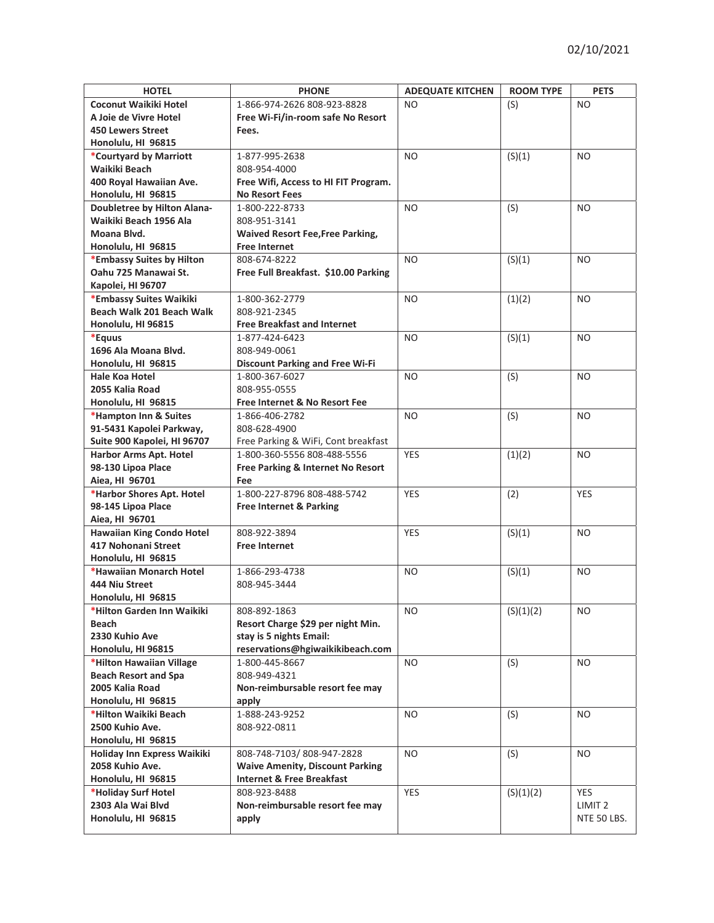| <b>HOTEL</b>                     | <b>PHONE</b>                             | <b>ADEQUATE KITCHEN</b> | <b>ROOM TYPE</b> | <b>PETS</b>        |
|----------------------------------|------------------------------------------|-------------------------|------------------|--------------------|
| <b>Coconut Waikiki Hotel</b>     | 1-866-974-2626 808-923-8828              | N <sub>O</sub>          | (S)              | NO.                |
| A Joie de Vivre Hotel            | Free Wi-Fi/in-room safe No Resort        |                         |                  |                    |
| <b>450 Lewers Street</b>         | Fees.                                    |                         |                  |                    |
| Honolulu, HI 96815               |                                          |                         |                  |                    |
| *Courtyard by Marriott           | 1-877-995-2638                           | NO.                     | (S)(1)           | NO.                |
| Waikiki Beach                    | 808-954-4000                             |                         |                  |                    |
| 400 Royal Hawaiian Ave.          | Free Wifi, Access to HI FIT Program.     |                         |                  |                    |
|                                  | <b>No Resort Fees</b>                    |                         |                  |                    |
| Honolulu, HI 96815               |                                          |                         |                  |                    |
| Doubletree by Hilton Alana-      | 1-800-222-8733                           | N <sub>O</sub>          | (S)              | NO.                |
| Waikiki Beach 1956 Ala           | 808-951-3141                             |                         |                  |                    |
| Moana Blvd.                      | <b>Waived Resort Fee, Free Parking,</b>  |                         |                  |                    |
| Honolulu, HI 96815               | <b>Free Internet</b>                     |                         |                  |                    |
| *Embassy Suites by Hilton        | 808-674-8222                             | <b>NO</b>               | (S)(1)           | NO.                |
| Oahu 725 Manawai St.             | Free Full Breakfast. \$10.00 Parking     |                         |                  |                    |
| Kapolei, HI 96707                |                                          |                         |                  |                    |
| *Embassy Suites Waikiki          | 1-800-362-2779                           | N <sub>O</sub>          | (1)(2)           | NO.                |
| Beach Walk 201 Beach Walk        | 808-921-2345                             |                         |                  |                    |
| Honolulu, HI 96815               | <b>Free Breakfast and Internet</b>       |                         |                  |                    |
| *Equus                           | 1-877-424-6423                           | N <sub>O</sub>          | (S)(1)           | N <sub>O</sub>     |
| 1696 Ala Moana Blvd.             | 808-949-0061                             |                         |                  |                    |
| Honolulu, HI 96815               | <b>Discount Parking and Free Wi-Fi</b>   |                         |                  |                    |
| Hale Koa Hotel                   | 1-800-367-6027                           | N <sub>O</sub>          | (S)              | NO.                |
| 2055 Kalia Road                  | 808-955-0555                             |                         |                  |                    |
| Honolulu, HI 96815               | <b>Free Internet &amp; No Resort Fee</b> |                         |                  |                    |
| *Hampton Inn & Suites            | 1-866-406-2782                           | <b>NO</b>               | (S)              | NO.                |
| 91-5431 Kapolei Parkway,         | 808-628-4900                             |                         |                  |                    |
| Suite 900 Kapolei, HI 96707      | Free Parking & WiFi, Cont breakfast      |                         |                  |                    |
| <b>Harbor Arms Apt. Hotel</b>    | 1-800-360-5556 808-488-5556              | <b>YES</b>              | (1)(2)           | NO.                |
| 98-130 Lipoa Place               | Free Parking & Internet No Resort        |                         |                  |                    |
| Aiea, HI 96701                   | Fee                                      |                         |                  |                    |
| *Harbor Shores Apt. Hotel        | 1-800-227-8796 808-488-5742              | <b>YES</b>              | (2)              | <b>YES</b>         |
| 98-145 Lipoa Place               | Free Internet & Parking                  |                         |                  |                    |
| Aiea, HI 96701                   |                                          |                         |                  |                    |
| <b>Hawaiian King Condo Hotel</b> | 808-922-3894                             | <b>YES</b>              | (S)(1)           | NO.                |
| 417 Nohonani Street              | <b>Free Internet</b>                     |                         |                  |                    |
| Honolulu, HI 96815               |                                          |                         |                  |                    |
| *Hawaiian Monarch Hotel          | 1-866-293-4738                           | NO                      | (S)(1)           | NO.                |
| 444 Niu Street                   | 808-945-3444                             |                         |                  |                    |
| Honolulu, HI 96815               |                                          |                         |                  |                    |
| *Hilton Garden Inn Waikiki       | 808-892-1863                             | NO                      | (S)(1)(2)        | <b>NO</b>          |
| Beach                            | Resort Charge \$29 per night Min.        |                         |                  |                    |
| 2330 Kuhio Ave                   | stay is 5 nights Email:                  |                         |                  |                    |
| Honolulu, HI 96815               | reservations@hgiwaikikibeach.com         |                         |                  |                    |
| *Hilton Hawaiian Village         | 1-800-445-8667                           | NO                      | (S)              | NO.                |
| <b>Beach Resort and Spa</b>      | 808-949-4321                             |                         |                  |                    |
| 2005 Kalia Road                  | Non-reimbursable resort fee may          |                         |                  |                    |
| Honolulu, HI 96815               | apply                                    |                         |                  |                    |
| *Hilton Waikiki Beach            | 1-888-243-9252                           | NO.                     | (S)              | NO.                |
| 2500 Kuhio Ave.                  | 808-922-0811                             |                         |                  |                    |
| Honolulu, HI 96815               |                                          |                         |                  |                    |
| Holiday Inn Express Waikiki      | 808-748-7103/808-947-2828                | NO.                     | (S)              | NO.                |
| 2058 Kuhio Ave.                  | <b>Waive Amenity, Discount Parking</b>   |                         |                  |                    |
| Honolulu, HI 96815               | <b>Internet &amp; Free Breakfast</b>     |                         |                  |                    |
| *Holiday Surf Hotel              | 808-923-8488                             | <b>YES</b>              | (S)(1)(2)        | <b>YES</b>         |
| 2303 Ala Wai Blvd                | Non-reimbursable resort fee may          |                         |                  | LIMIT <sub>2</sub> |
| Honolulu, HI 96815               | apply                                    |                         |                  | NTE 50 LBS.        |
|                                  |                                          |                         |                  |                    |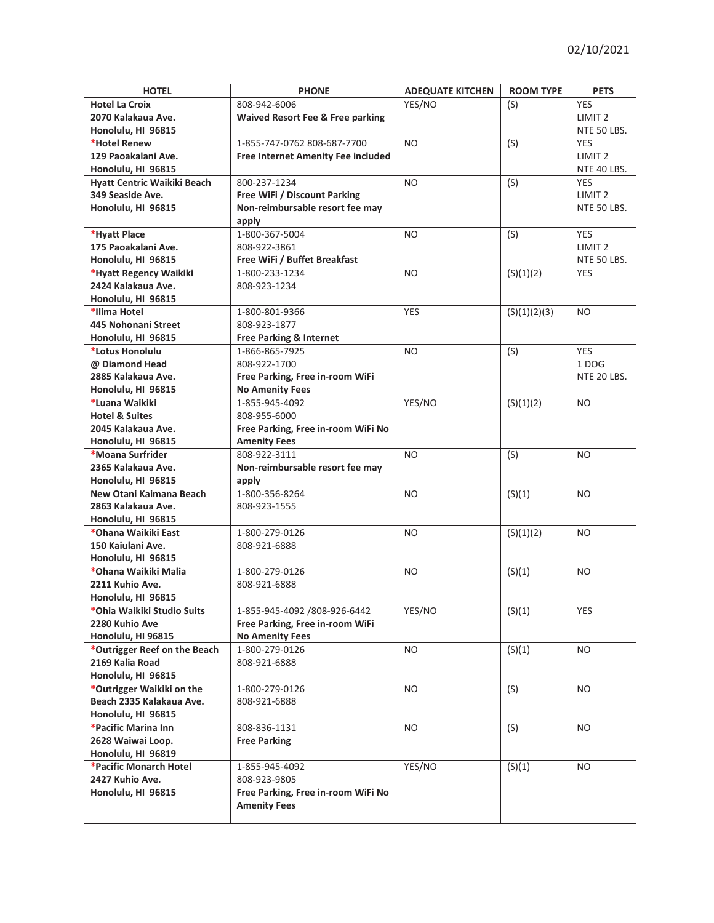| <b>HOTEL</b>                                       | <b>PHONE</b>                                | <b>ADEQUATE KITCHEN</b> | <b>ROOM TYPE</b> | <b>PETS</b>        |
|----------------------------------------------------|---------------------------------------------|-------------------------|------------------|--------------------|
| <b>Hotel La Croix</b>                              | 808-942-6006                                | YES/NO                  | (S)              | YES                |
| 2070 Kalakaua Ave.                                 | <b>Waived Resort Fee &amp; Free parking</b> |                         |                  | LIMIT <sub>2</sub> |
| Honolulu, HI 96815                                 |                                             |                         |                  | NTE 50 LBS.        |
| *Hotel Renew                                       | 1-855-747-0762 808-687-7700                 | N <sub>O</sub>          | (S)              | <b>YES</b>         |
| 129 Paoakalani Ave.                                | <b>Free Internet Amenity Fee included</b>   |                         |                  | LIMIT <sub>2</sub> |
| Honolulu, HI 96815                                 |                                             |                         |                  | NTE 40 LBS.        |
| Hyatt Centric Waikiki Beach                        | 800-237-1234                                | N <sub>O</sub>          | (S)              | <b>YES</b>         |
| 349 Seaside Ave.                                   | Free WiFi / Discount Parking                |                         |                  | LIMIT <sub>2</sub> |
| Honolulu, HI 96815                                 | Non-reimbursable resort fee may             |                         |                  | NTE 50 LBS.        |
|                                                    | apply                                       |                         |                  |                    |
| *Hyatt Place                                       | 1-800-367-5004                              | N <sub>O</sub>          | (S)              | <b>YES</b>         |
| 175 Paoakalani Ave.                                | 808-922-3861                                |                         |                  | LIMIT <sub>2</sub> |
| Honolulu, HI 96815                                 | Free WiFi / Buffet Breakfast                |                         |                  | NTE 50 LBS.        |
| *Hyatt Regency Waikiki                             | 1-800-233-1234                              | N <sub>O</sub>          | (S)(1)(2)        | <b>YES</b>         |
| 2424 Kalakaua Ave.                                 | 808-923-1234                                |                         |                  |                    |
| Honolulu, HI 96815                                 |                                             |                         |                  |                    |
| *Ilima Hotel                                       | 1-800-801-9366                              | <b>YES</b>              | (S)(1)(2)(3)     | N <sub>O</sub>     |
| 445 Nohonani Street                                | 808-923-1877                                |                         |                  |                    |
| Honolulu, HI 96815                                 | Free Parking & Internet                     |                         |                  |                    |
| *Lotus Honolulu                                    | 1-866-865-7925                              | NO.                     | (S)              | <b>YES</b>         |
| @ Diamond Head                                     | 808-922-1700                                |                         |                  | 1DOG               |
| 2885 Kalakaua Ave.                                 | Free Parking, Free in-room WiFi             |                         |                  | NTE 20 LBS.        |
| Honolulu, HI 96815                                 | <b>No Amenity Fees</b>                      |                         |                  |                    |
| *Luana Waikiki                                     | 1-855-945-4092                              | YES/NO                  | (S)(1)(2)        | NO.                |
| <b>Hotel &amp; Suites</b>                          | 808-955-6000                                |                         |                  |                    |
| 2045 Kalakaua Ave.                                 | Free Parking, Free in-room WiFi No          |                         |                  |                    |
| Honolulu, HI 96815                                 | <b>Amenity Fees</b>                         |                         |                  |                    |
| *Moana Surfrider                                   | 808-922-3111                                | <b>NO</b>               | (S)              | N <sub>O</sub>     |
| 2365 Kalakaua Ave.                                 | Non-reimbursable resort fee may             |                         |                  |                    |
| Honolulu, HI 96815                                 | apply                                       |                         |                  |                    |
| New Otani Kaimana Beach                            | 1-800-356-8264                              | <b>NO</b>               | (S)(1)           | N <sub>O</sub>     |
| 2863 Kalakaua Ave.<br>808-923-1555                 |                                             |                         |                  |                    |
|                                                    | Honolulu, HI 96815                          |                         |                  |                    |
| *Ohana Waikiki East                                | 1-800-279-0126                              |                         | (S)(1)(2)        | NO.                |
| 150 Kaiulani Ave.                                  | 808-921-6888                                |                         |                  |                    |
|                                                    | Honolulu, HI 96815                          |                         |                  |                    |
| *Ohana Waikiki Malia                               | 1-800-279-0126                              | NO                      | (S)(1)           | NO.                |
| 2211 Kuhio Ave.                                    | 808-921-6888                                |                         |                  |                    |
| Honolulu, HI 96815                                 |                                             |                         |                  |                    |
| *Ohia Waikiki Studio Suits                         | 1-855-945-4092 /808-926-6442                | YES/NO                  | (S)(1)           | YES                |
| 2280 Kuhio Ave                                     | Free Parking, Free in-room WiFi             |                         |                  |                    |
| Honolulu, HI 96815<br>*Outrigger Reef on the Beach | <b>No Amenity Fees</b>                      |                         |                  | <b>NO</b>          |
| 2169 Kalia Road                                    | 1-800-279-0126<br>808-921-6888              | NO.                     | (S)(1)           |                    |
| Honolulu, HI 96815                                 |                                             |                         |                  |                    |
| *Outrigger Waikiki on the                          | 1-800-279-0126                              | NO.                     | (S)              | NO.                |
| Beach 2335 Kalakaua Ave.                           | 808-921-6888                                |                         |                  |                    |
| Honolulu, HI 96815                                 |                                             |                         |                  |                    |
| *Pacific Marina Inn                                | 808-836-1131                                | NO.                     | (S)              | NO.                |
| 2628 Waiwai Loop.<br><b>Free Parking</b>           |                                             |                         |                  |                    |
| Honolulu, HI 96819                                 |                                             |                         |                  |                    |
| *Pacific Monarch Hotel                             | 1-855-945-4092                              | YES/NO                  | (S)(1)           | NO.                |
| 2427 Kuhio Ave.                                    | 808-923-9805                                |                         |                  |                    |
| Honolulu, HI 96815                                 | Free Parking, Free in-room WiFi No          |                         |                  |                    |
|                                                    | <b>Amenity Fees</b>                         |                         |                  |                    |
|                                                    |                                             |                         |                  |                    |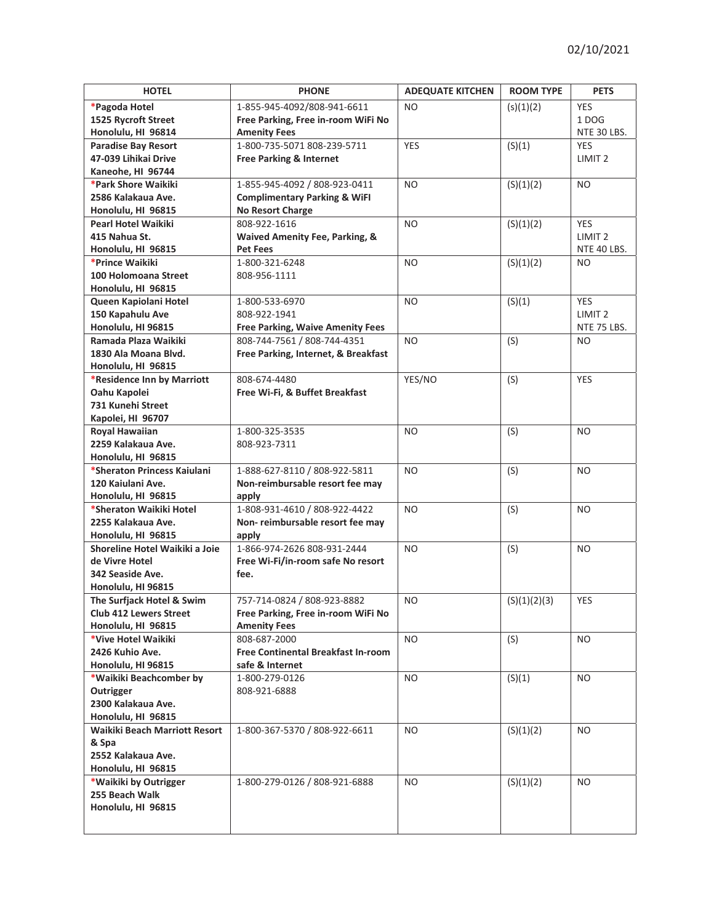| <b>HOTEL</b>                                  | <b>PHONE</b>                              |                | <b>ROOM TYPE</b> | <b>PETS</b>        |
|-----------------------------------------------|-------------------------------------------|----------------|------------------|--------------------|
| *Pagoda Hotel                                 | 1-855-945-4092/808-941-6611               | <b>NO</b>      | (s)(1)(2)        | <b>YES</b>         |
| 1525 Rycroft Street                           | Free Parking, Free in-room WiFi No        |                |                  | 1DOG               |
| Honolulu, HI 96814                            | <b>Amenity Fees</b>                       |                |                  | NTE 30 LBS.        |
| <b>Paradise Bay Resort</b>                    | 1-800-735-5071 808-239-5711               | <b>YES</b>     | (S)(1)           | <b>YES</b>         |
| 47-039 Lihikai Drive                          | <b>Free Parking &amp; Internet</b>        |                |                  | LIMIT <sub>2</sub> |
| Kaneohe, HI 96744                             |                                           |                |                  |                    |
| *Park Shore Waikiki                           | 1-855-945-4092 / 808-923-0411             | NO.            | (S)(1)(2)        | NO                 |
| 2586 Kalakaua Ave.                            | <b>Complimentary Parking &amp; WiFI</b>   |                |                  |                    |
| Honolulu, HI 96815                            | <b>No Resort Charge</b>                   |                |                  |                    |
| <b>Pearl Hotel Waikiki</b>                    | 808-922-1616                              | <b>NO</b>      | (S)(1)(2)        | <b>YES</b>         |
| 415 Nahua St.                                 | <b>Waived Amenity Fee, Parking, &amp;</b> |                |                  | LIMIT <sub>2</sub> |
| Honolulu, HI 96815                            | <b>Pet Fees</b>                           |                |                  | NTE 40 LBS.        |
| *Prince Waikiki                               | 1-800-321-6248                            | N <sub>O</sub> | (S)(1)(2)        | N <sub>O</sub>     |
| 100 Holomoana Street                          | 808-956-1111                              |                |                  |                    |
| Honolulu, HI 96815                            |                                           |                |                  |                    |
| Queen Kapiolani Hotel                         | 1-800-533-6970                            | <b>NO</b>      | (S)(1)           | <b>YES</b>         |
| 150 Kapahulu Ave                              | 808-922-1941                              |                |                  | LIMIT <sub>2</sub> |
| Honolulu, HI 96815                            | <b>Free Parking, Waive Amenity Fees</b>   |                |                  | NTE 75 LBS.        |
| Ramada Plaza Waikiki                          | 808-744-7561 / 808-744-4351               | N <sub>O</sub> | (S)              |                    |
| 1830 Ala Moana Blvd.                          |                                           |                |                  | NO.                |
| Honolulu, HI 96815                            | Free Parking, Internet, & Breakfast       |                |                  |                    |
|                                               | 808-674-4480                              |                |                  | <b>YES</b>         |
| *Residence Inn by Marriott<br>Oahu Kapolei    | Free Wi-Fi, & Buffet Breakfast            | YES/NO         | (S)              |                    |
| <b>731 Kunehi Street</b>                      |                                           |                |                  |                    |
|                                               |                                           |                |                  |                    |
| Kapolei, HI 96707<br><b>Royal Hawaiian</b>    | 1-800-325-3535                            | <b>NO</b>      | (S)              | N <sub>O</sub>     |
| 2259 Kalakaua Ave.                            | 808-923-7311                              |                |                  |                    |
| Honolulu, HI 96815                            |                                           |                |                  |                    |
| *Sheraton Princess Kaiulani                   | 1-888-627-8110 / 808-922-5811             | <b>NO</b>      | (S)              | <b>NO</b>          |
| 120 Kaiulani Ave.                             | Non-reimbursable resort fee may           |                |                  |                    |
|                                               |                                           |                |                  |                    |
| Honolulu, HI 96815<br>*Sheraton Waikiki Hotel | apply<br>1-808-931-4610 / 808-922-4422    | <b>NO</b>      |                  | N <sub>O</sub>     |
| 2255 Kalakaua Ave.                            | Non-reimbursable resort fee may           |                | (S)              |                    |
| Honolulu, HI 96815                            | apply                                     |                |                  |                    |
| Shoreline Hotel Waikiki a Joie                | 1-866-974-2626 808-931-2444               | <b>NO</b>      | (S)              | NO                 |
| de Vivre Hotel                                | Free Wi-Fi/in-room safe No resort         |                |                  |                    |
|                                               | 342 Seaside Ave.<br>fee.                  |                |                  |                    |
| Honolulu, HI 96815                            |                                           |                |                  |                    |
| The Surfjack Hotel & Swim                     | 757-714-0824 / 808-923-8882               | N <sub>O</sub> | (S)(1)(2)(3)     | <b>YES</b>         |
| <b>Club 412 Lewers Street</b>                 | Free Parking, Free in-room WiFi No        |                |                  |                    |
| Honolulu, HI 96815                            | <b>Amenity Fees</b>                       |                |                  |                    |
| *Vive Hotel Waikiki                           | 808-687-2000                              | NO.            |                  | NO.                |
| 2426 Kuhio Ave.                               | Free Continental Breakfast In-room        |                | (S)              |                    |
| Honolulu, HI 96815                            | safe & Internet                           |                |                  |                    |
| *Waikiki Beachcomber by                       | 1-800-279-0126                            | <b>NO</b>      |                  | NO.                |
| Outrigger                                     | 808-921-6888                              |                | (S)(1)           |                    |
| 2300 Kalakaua Ave.                            |                                           |                |                  |                    |
| Honolulu, HI 96815                            |                                           |                |                  |                    |
| Waikiki Beach Marriott Resort                 | 1-800-367-5370 / 808-922-6611             | NO             | (S)(1)(2)        | NO.                |
|                                               |                                           |                |                  |                    |
| & Spa<br>2552 Kalakaua Ave.                   |                                           |                |                  |                    |
| Honolulu, HI 96815                            |                                           |                |                  |                    |
|                                               |                                           | NO.            |                  | NO.                |
| *Waikiki by Outrigger<br>255 Beach Walk       | 1-800-279-0126 / 808-921-6888             |                | (S)(1)(2)        |                    |
|                                               |                                           |                |                  |                    |
| Honolulu, HI 96815                            |                                           |                |                  |                    |
|                                               |                                           |                |                  |                    |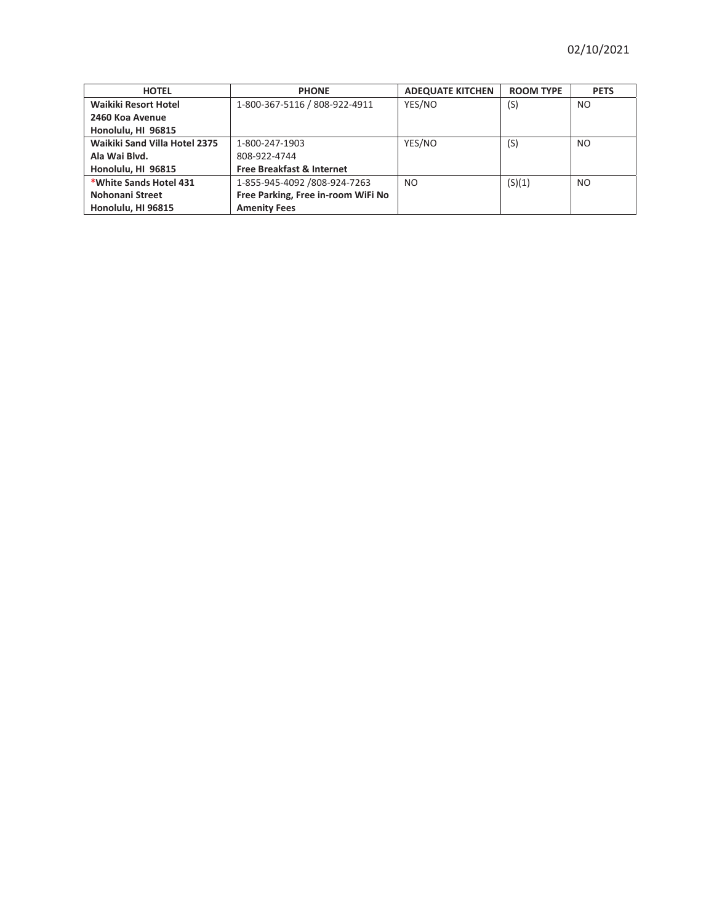| <b>HOTEL</b>                  | <b>PHONE</b>                         | <b>ADEQUATE KITCHEN</b> | <b>ROOM TYPE</b> | <b>PETS</b>    |
|-------------------------------|--------------------------------------|-------------------------|------------------|----------------|
| Waikiki Resort Hotel          | 1-800-367-5116 / 808-922-4911        | YES/NO                  | (S)              | NO.            |
| 2460 Koa Avenue               |                                      |                         |                  |                |
| Honolulu, HI 96815            |                                      |                         |                  |                |
| Waikiki Sand Villa Hotel 2375 | 1-800-247-1903                       | YES/NO                  | (S)              | N <sub>O</sub> |
| Ala Wai Blvd.                 | 808-922-4744                         |                         |                  |                |
| Honolulu, HI 96815            | <b>Free Breakfast &amp; Internet</b> |                         |                  |                |
| *White Sands Hotel 431        | 1-855-945-4092 /808-924-7263         | N <sub>O</sub>          | (S)(1)           | NO.            |
| Nohonani Street               | Free Parking, Free in-room WiFi No   |                         |                  |                |
| Honolulu, HI 96815            | <b>Amenity Fees</b>                  |                         |                  |                |